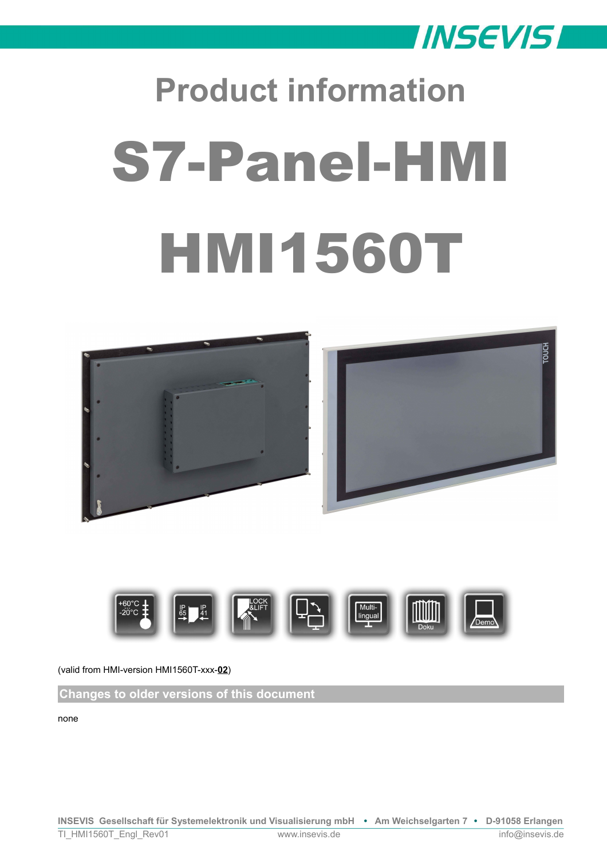

# **Product information** S7-Panel-HMI HMI1560T





## (valid from HMI-version HMI1560T-xxx-**02**)

**Changes to older versions of this document**

none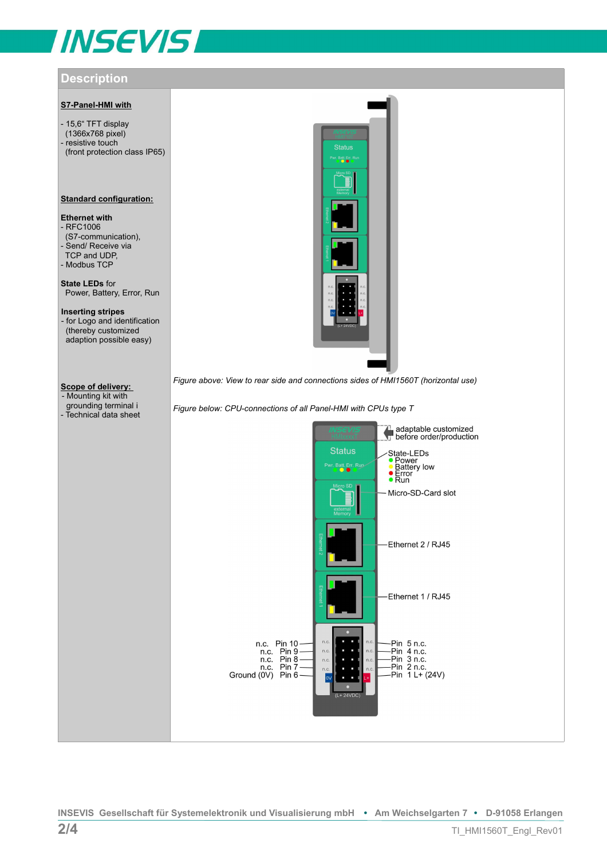# **INSEVIS**

# **Description**

#### **S7-Panel-HMI with**

- 15,6" TFT display (1366x768 pixel) - resistive touch (front protection class IP65)

#### **Standard configuration:**

# **Ethernet with**

- RFC1006 (S7-communication), - Send/ Receive via TCP and UDP, - Modbus TCP

**State LEDs** for Power, Battery, Error, Run

**Inserting stripes**  - for Logo and identification (thereby customized adaption possible easy)

### **Scope of delivery:**

- Mounting kit with grounding terminal i - Technical data sheet



*Figure above: View to rear side and connections sides of HMI1560T (horizontal use)*

*Figure below: CPU-connections of all Panel-HMI with CPUs type T*

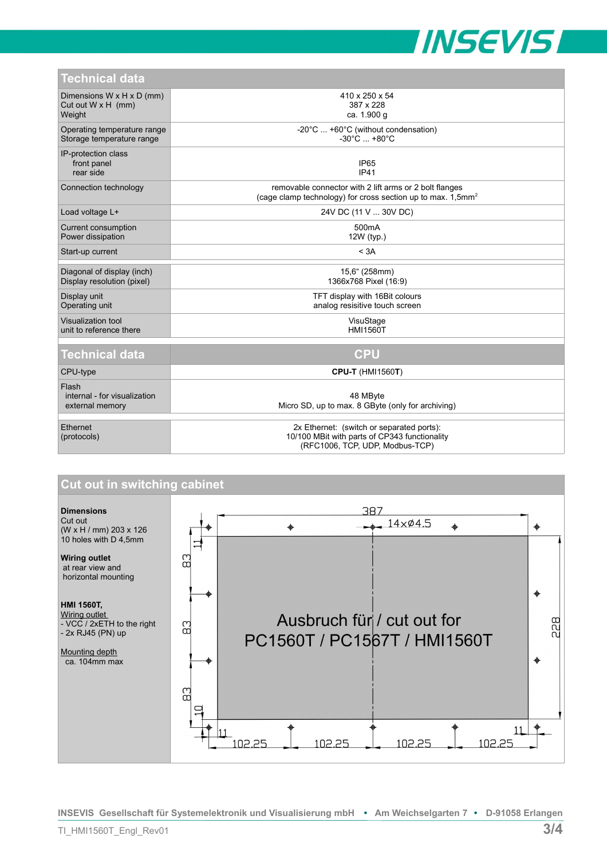

| <b>Technical data</b> |  |  |
|-----------------------|--|--|
|                       |  |  |

| ו סטוווווסמו טמנמ                                                            |                                                                                                                                   |  |  |
|------------------------------------------------------------------------------|-----------------------------------------------------------------------------------------------------------------------------------|--|--|
| Dimensions $W \times H \times D$ (mm)<br>Cut out $W \times H$ (mm)<br>Weight | 410 x 250 x 54<br>387 x 228<br>ca. 1.900 g                                                                                        |  |  |
| Operating temperature range<br>Storage temperature range                     | -20°C  +60°C (without condensation)<br>$-30^{\circ}$ C $+80^{\circ}$ C                                                            |  |  |
| IP-protection class<br>front panel<br>rear side                              | IP <sub>65</sub><br><b>IP41</b>                                                                                                   |  |  |
| Connection technology                                                        | removable connector with 2 lift arms or 2 bolt flanges<br>(cage clamp technology) for cross section up to max. 1,5mm <sup>2</sup> |  |  |
| Load voltage L+                                                              | 24V DC (11 V  30V DC)                                                                                                             |  |  |
| Current consumption<br>Power dissipation                                     | 500 <sub>m</sub> A<br>12W (typ.)                                                                                                  |  |  |
| Start-up current                                                             | < 3A                                                                                                                              |  |  |
| Diagonal of display (inch)<br>Display resolution (pixel)                     | 15,6" (258mm)<br>1366x768 Pixel (16:9)                                                                                            |  |  |
| Display unit<br>Operating unit                                               | TFT display with 16Bit colours<br>analog resisitive touch screen                                                                  |  |  |
| Visualization tool<br>unit to reference there                                | VisuStage<br><b>HMI1560T</b>                                                                                                      |  |  |
| <b>Technical data</b>                                                        | <b>CPU</b>                                                                                                                        |  |  |
| CPU-type                                                                     | <b>CPU-T (HMI1560T)</b>                                                                                                           |  |  |
| Flash<br>internal - for visualization<br>external memory                     | 48 MByte<br>Micro SD, up to max. 8 GByte (only for archiving)                                                                     |  |  |
| Ethernet<br>(protocols)                                                      | 2x Ethernet: (switch or separated ports):<br>10/100 MBit with parts of CP343 functionality<br>(RFC1006, TCP, UDP, Modbus-TCP)     |  |  |



**INSEVIS Gesellschaft für Systemelektronik und Visualisierung mbH • Am Weichselgarten 7 • D-91058 Erlangen**